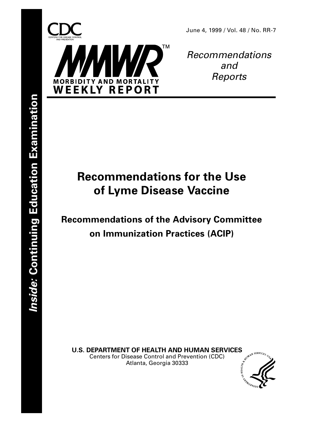

Recommendations and Reports

# **Recommendations for the Use of Lyme Disease Vaccine**

**Recommendations of the Advisory Committee on Immunization Practices (ACIP)**

**U.S. DEPARTMENT OF HEALTH AND HUMAN SERVICES**<br>Centers for Disease Control and Prevention (CDC)<br>Atlanta, Georgia 30322 Centers for Disease Control and Prevention (CDC) Atlanta, Georgia 30333

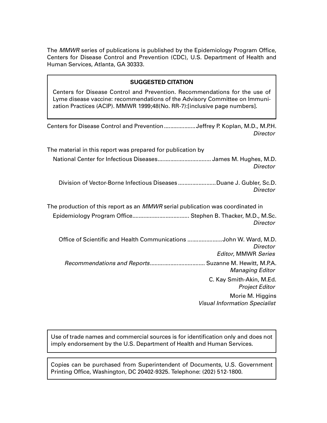The MMWR series of publications is published by the Epidemiology Program Office, Centers for Disease Control and Prevention (CDC), U.S. Department of Health and Human Services, Atlanta, GA 30333.

#### **SUGGESTED CITATION**

Centers for Disease Control and Prevention. Recommendations for the use of Lyme disease vaccine: recommendations of the Advisory Committee on Immunization Practices (ACIP). MMWR 1999;48(No. RR-7):[inclusive page numbers].

Use of trade names and commercial sources is for identification only and does not imply endorsement by the U.S. Department of Health and Human Services.

Copies can be purchased from Superintendent of Documents, U.S. Government Printing Office, Washington, DC 20402-9325. Telephone: (202) 512-1800.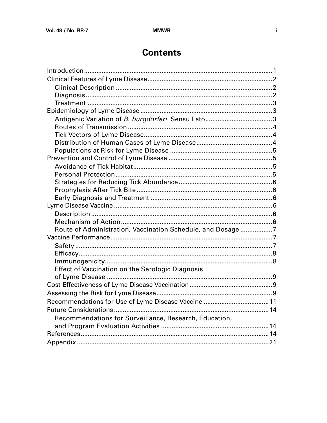## **Contents**

| Route of Administration, Vaccination Schedule, and Dosage 7 |  |
|-------------------------------------------------------------|--|
|                                                             |  |
|                                                             |  |
|                                                             |  |
|                                                             |  |
| <b>Effect of Vaccination on the Serologic Diagnosis</b>     |  |
|                                                             |  |
|                                                             |  |
|                                                             |  |
| Recommendations for Use of Lyme Disease Vaccine  11         |  |
|                                                             |  |
| Recommendations for Surveillance, Research, Education,      |  |
|                                                             |  |
|                                                             |  |
|                                                             |  |
|                                                             |  |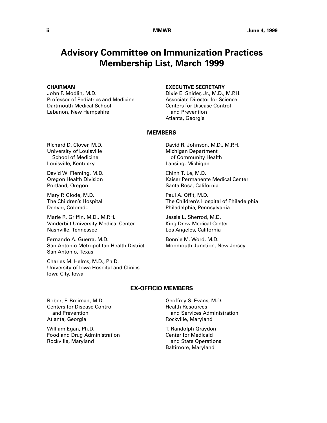## **Advisory Committee on Immunization Practices Membership List, March 1999**

#### **CHAIRMAN**

John F. Modlin, M.D. Professor of Pediatrics and Medicine Dartmouth Medical School Lebanon, New Hampshire

#### **EXECUTIVE SECRETARY**

Dixie E. Snider, Jr., M.D., M.P.H. Associate Director for Science Centers for Disease Control and Prevention Atlanta, Georgia

#### **MEMBERS**

Richard D. Clover, M.D. University of Louisville School of Medicine Louisville, Kentucky

David W. Fleming, M.D. Oregon Health Division Portland, Oregon

Mary P. Glode, M.D. The Children's Hospital Denver, Colorado

Marie R. Griffin, M.D., M.P.H. Vanderbilt University Medical Center Nashville, Tennessee

Fernando A. Guerra, M.D. San Antonio Metropolitan Health District San Antonio, Texas

Charles M. Helms, M.D., Ph.D. University of Iowa Hospital and Clinics Iowa City, Iowa

David R. Johnson, M.D., M.P.H. Michigan Department of Community Health Lansing, Michigan

Chinh T. Le, M.D. Kaiser Permanente Medical Center Santa Rosa, California

Paul A. Offit, M.D. The Children's Hospital of Philadelphia Philadelphia, Pennsylvania

Jessie L. Sherrod, M.D. King Drew Medical Center Los Angeles, California

Bonnie M. Word, M.D. Monmouth Junction, New Jersey

#### **EX-OFFICIO MEMBERS**

Robert F. Breiman, M.D. Centers for Disease Control and Prevention Atlanta, Georgia

William Egan, Ph.D. Food and Drug Administration Rockville, Maryland

Geoffrey S. Evans, M.D. Health Resources and Services Administration Rockville, Maryland

T. Randolph Graydon Center for Medicaid and State Operations Baltimore, Maryland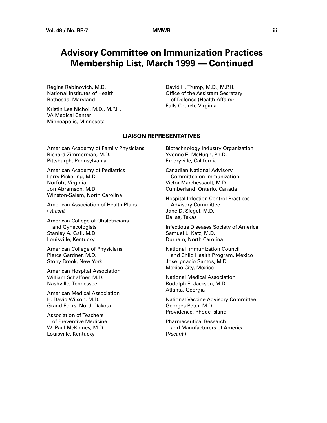## **Advisory Committee on Immunization Practices Membership List, March 1999 — Continued**

Regina Rabinovich, M.D. National Institutes of Health Bethesda, Maryland

Kristin Lee Nichol, M.D., M.P.H. VA Medical Center Minneapolis, Minnesota

David H. Trump, M.D., M.P.H. Office of the Assistant Secretary of Defense (Health Affairs) Falls Church, Virginia

#### **LIAISON REPRESENTATIVES**

American Academy of Family Physicians Richard Zimmerman, M.D. Pittsburgh, Pennsylvania

American Academy of Pediatrics Larry Pickering, M.D. Norfolk, Virginia Jon Abramson, M.D. Winston-Salem, North Carolina

American Association of Health Plans (Vacant )

American College of Obstetricians and Gynecologists Stanley A. Gall, M.D. Louisville, Kentucky

American College of Physicians Pierce Gardner, M.D. Stony Brook, New York

American Hospital Association William Schaffner, M.D. Nashville, Tennessee

American Medical Association H. David Wilson, M.D. Grand Forks, North Dakota

Association of Teachers of Preventive Medicine W. Paul McKinney, M.D. Louisville, Kentucky

Biotechnology Industry Organization Yvonne E. McHugh, Ph.D. Emeryville, California

Canadian National Advisory Committee on Immunization Victor Marchessault, M.D. Cumberland, Ontario, Canada

Hospital Infection Control Practices Advisory Committee Jane D. Siegel, M.D. Dallas, Texas

Infectious Diseases Society of America Samuel L. Katz, M.D. Durham, North Carolina

National Immunization Council and Child Health Program, Mexico Jose Ignacio Santos, M.D. Mexico City, Mexico

National Medical Association Rudolph E. Jackson, M.D. Atlanta, Georgia

National Vaccine Advisory Committee Georges Peter, M.D. Providence, Rhode Island

Pharmaceutical Research and Manufacturers of America (Vacant )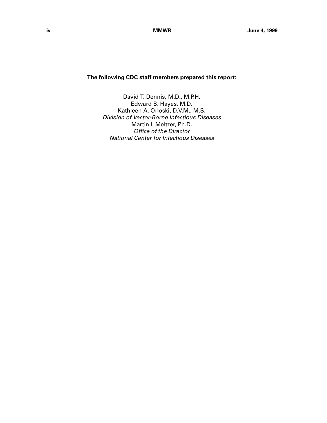### **The following CDC staff members prepared this report:**

David T. Dennis, M.D., M.P.H. Edward B. Hayes, M.D. Kathleen A. Orloski, D.V.M., M.S. Division of Vector-Borne Infectious Diseases Martin I. Meltzer, Ph.D. Office of the Director National Center for Infectious Diseases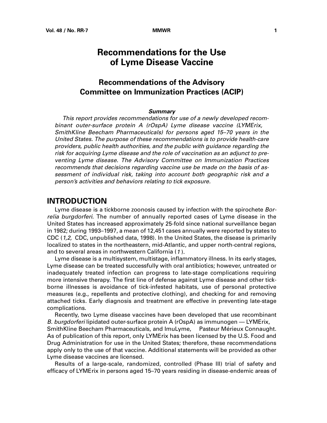## **Recommendations for the Use of Lyme Disease Vaccine**

## **Recommendations of the Advisory Committee on Immunization Practices (ACIP)**

#### **Summary**

<span id="page-6-0"></span>This report provides recommendations for use of a newly developed recombinant outer-surface protein A (rOspA) Lyme disease vaccine (LYMErix, $\mathbb{M}$ SmithKline Beecham Pharmaceuticals) for persons aged 15–70 years in the United States. The purpose of these recommendations is to provide health-care providers, public health authorities, and the public with guidance regarding the risk for acquiring Lyme disease and the role of vaccination as an adjunct to preventing Lyme disease. The Advisory Committee on Immunization Practices recommends that decisions regarding vaccine use be made on the basis of assessment of individual risk, taking into account both geographic risk and a person's activities and behaviors relating to tick exposure.

## **INTRODUCTION**

Lyme disease is a tickborne zoonosis caused by infection with the spirochete Borrelia burgdorferi. The number of annually reported cases of Lyme disease in the United States has increased approximately 25-fold since national surveillance began in 1982; during 1993–1997, a mean of 12,451 cases annually were reported by states to CDC (1,2, CDC, unpublished data, 1998). In the United States, the disease is primarily localized to states in the northeastern, mid-Atlantic, and upper north-central regions, and to several areas in northwestern California (1 ).

Lyme disease is a multisystem, multistage, inflammatory illness. In its early stages, Lyme disease can be treated successfully with oral antibiotics; however, untreated or inadequately treated infection can progress to late-stage complications requiring more intensive therapy. The first line of defense against Lyme disease and other tickborne illnesses is avoidance of tick-infested habitats, use of personal protective measures (e.g., repellents and protective clothing), and checking for and removing attached ticks. Early diagnosis and treatment are effective in preventing late-stage complications.

Recently, two Lyme disease vaccines have been developed that use recombinant B. burgdorferi lipidated outer-surface protein A (rOspA) as immunogen — LYMErix, $\mathbb{M}$ SmithKline Beecham Pharmaceuticals, and ImuLyme,<sup>™</sup> Pasteur Mérieux Connaught. As of publication of this report, only LYMErix has been licensed by the U.S. Food and Drug Administration for use in the United States; therefore, these recommendations apply only to the use of that vaccine. Additional statements will be provided as other Lyme disease vaccines are licensed.

Results of a large-scale, randomized, controlled (Phase III) trial of safety and efficacy of LYMErix in persons aged 15–70 years residing in disease-endemic areas of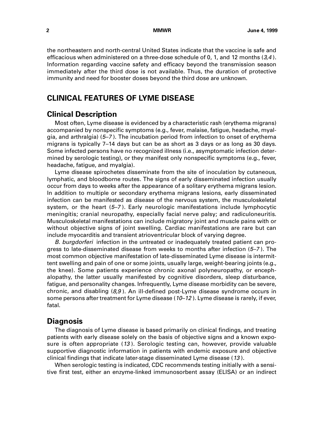<span id="page-7-0"></span>the northeastern and north-central United States indicate that the vaccine is safe and efficacious when administered on a three-dose schedule of 0, 1, and 12 months  $(3,4)$ . Information regarding vaccine safety and efficacy beyond the transmission season immediately after the third dose is not available. Thus, the duration of protective immunity and need for booster doses beyond the third dose are unknown.

## **CLINICAL FEATURES OF LYME DISEASE**

### **Clinical Description**

Most often, Lyme disease is evidenced by a characteristic rash (erythema migrans) accompanied by nonspecific symptoms (e.g., fever, malaise, fatigue, headache, myalgia, and arthralgia) (5–7 ). The incubation period from infection to onset of erythema migrans is typically 7–14 days but can be as short as 3 days or as long as 30 days. Some infected persons have no recognized illness (i.e., asymptomatic infection determined by serologic testing), or they manifest only nonspecific symptoms (e.g., fever, headache, fatigue, and myalgia).

Lyme disease spirochetes disseminate from the site of inoculation by cutaneous, lymphatic, and bloodborne routes. The signs of early disseminated infection usually occur from days to weeks after the appearance of a solitary erythema migrans lesion. In addition to multiple or secondary erythema migrans lesions, early disseminated infection can be manifested as disease of the nervous system, the musculoskeletal system, or the heart (5–7 ). Early neurologic manifestations include lymphocytic meningitis; cranial neuropathy, especially facial nerve palsy; and radiculoneuritis. Musculoskeletal manifestations can include migratory joint and muscle pains with or without objective signs of joint swelling. Cardiac manifestations are rare but can include myocarditis and transient atrioventricular block of varying degree.

B. burgdorferi infection in the untreated or inadequately treated patient can progress to late-disseminated disease from weeks to months after infection (5–7 ). The most common objective manifestation of late-disseminated Lyme disease is intermittent swelling and pain of one or some joints, usually large, weight-bearing joints (e.g., the knee). Some patients experience chronic axonal polyneuropathy, or encephalopathy, the latter usually manifested by cognitive disorders, sleep disturbance, fatigue, and personality changes. Infrequently, Lyme disease morbidity can be severe, chronic, and disabling  $(8,9)$ . An ill-defined post-Lyme disease syndrome occurs in some persons after treatment for Lyme disease  $(10-12)$ . Lyme disease is rarely, if ever, fatal.

## **Diagnosis**

The diagnosis of Lyme disease is based primarily on clinical findings, and treating patients with early disease solely on the basis of objective signs and a known exposure is often appropriate (13 ). Serologic testing can, however, provide valuable supportive diagnostic information in patients with endemic exposure and objective clinical findings that indicate later-stage disseminated Lyme disease (13 ).

When serologic testing is indicated, CDC recommends testing initially with a sensitive first test, either an enzyme-linked immunosorbent assay (ELISA) or an indirect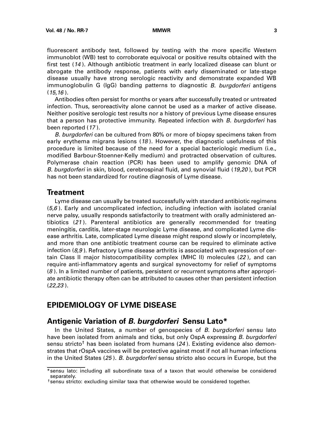<span id="page-8-0"></span>fluorescent antibody test, followed by testing with the more specific Western immunoblot (WB) test to corroborate equivocal or positive results obtained with the first test (14 ). Although antibiotic treatment in early localized disease can blunt or abrogate the antibody response, patients with early disseminated or late-stage disease usually have strong serologic reactivity and demonstrate expanded WB immunoglobulin G (IgG) banding patterns to diagnostic B. burgdorferi antigens  $(15,16)$ .

Antibodies often persist for months or years after successfully treated or untreated infection. Thus, seroreactivity alone cannot be used as a marker of active disease. Neither positive serologic test results nor a history of previous Lyme disease ensures that a person has protective immunity. Repeated infection with B. burgdorferi has been reported (17 ).

B. burgdorferi can be cultured from 80% or more of biopsy specimens taken from early erythema migrans lesions  $(18)$ . However, the diagnostic usefulness of this procedure is limited because of the need for a special bacteriologic medium (i.e., modified Barbour-Stoenner-Kelly medium) and protracted observation of cultures. Polymerase chain reaction (PCR) has been used to amplify genomic DNA of B. burgdorferi in skin, blood, cerebrospinal fluid, and synovial fluid (19,20), but PCR has not been standardized for routine diagnosis of Lyme disease.

#### **Treatment**

Lyme disease can usually be treated successfully with standard antibiotic regimens  $(5,6)$ . Early and uncomplicated infection, including infection with isolated cranial nerve palsy, usually responds satisfactorily to treatment with orally administered antibiotics (21 ). Parenteral antibiotics are generally recommended for treating meningitis, carditis, later-stage neurologic Lyme disease, and complicated Lyme disease arthritis. Late, complicated Lyme disease might respond slowly or incompletely, and more than one antibiotic treatment course can be required to eliminate active infection  $(8,9)$ . Refractory Lyme disease arthritis is associated with expression of certain Class II major histocompatibility complex (MHC II) molecules (22 ), and can require anti-inflammatory agents and surgical synovectomy for relief of symptoms (8 ). In a limited number of patients, persistent or recurrent symptoms after appropriate antibiotic therapy often can be attributed to causes other than persistent infection (22,23 ).

## **EPIDEMIOLOGY OF LYME DISEASE**

## **Antigenic Variation of B. burgdorferi Sensu Lato\***

In the United States, a number of genospecies of B. burgdorferi sensu lato have been isolated from animals and ticks, but only OspA expressing B. burgdorferi sensu stricto<sup>†</sup> has been isolated from humans ( $24$ ). Existing evidence also demonstrates that rOspA vaccines will be protective against most if not all human infections in the United States (25). B. burgdorferi sensu stricto also occurs in Europe, but the

<sup>\*</sup>sensu lato: including all subordinate taxa of a taxon that would otherwise be considered separately.

<sup>†</sup>sensu stricto: excluding similar taxa that otherwise would be considered together.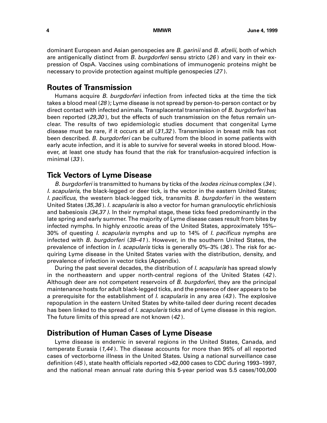<span id="page-9-0"></span>dominant European and Asian genospecies are B. garinii and B. afzelii, both of which are antigenically distinct from *B. burgdorferi* sensu stricto  $(26)$  and vary in their expression of OspA. Vaccines using combinations of immunogenic proteins might be necessary to provide protection against multiple genospecies (27 ).

### **Routes of Transmission**

Humans acquire B. burgdorferi infection from infected ticks at the time the tick takes a blood meal (28); Lyme disease is not spread by person-to-person contact or by direct contact with infected animals. Transplacental transmission of B. burgdorferi has been reported (29,30), but the effects of such transmission on the fetus remain unclear. The results of two epidemiologic studies document that congenital Lyme disease must be rare, if it occurs at all (31,32 ). Transmission in breast milk has not been described. B. burgdorferi can be cultured from the blood in some patients with early acute infection, and it is able to survive for several weeks in stored blood. However, at least one study has found that the risk for transfusion-acquired infection is minimal (33 ).

## **Tick Vectors of Lyme Disease**

B. burgdorferi is transmitted to humans by ticks of the *Ixodes ricinus* complex (34). I. scapularis, the black-legged or deer tick, is the vector in the eastern United States; I. pacificus, the western black-legged tick, transmits B. burgdorferi in the western United States (35,36). I. scapularis is also a vector for human granulocytic ehrlichiosis and babesiosis (34,37 ). In their nymphal stage, these ticks feed predominantly in the late spring and early summer. The majority of Lyme disease cases result from bites by infected nymphs. In highly enzootic areas of the United States, approximately 15%– 30% of questing I. scapularis nymphs and up to 14% of I. pacificus nymphs are infected with B. burgdorferi (38–41). However, in the southern United States, the prevalence of infection in *I. scapularis* ticks is generally 0%–3% (36). The risk for acquiring Lyme disease in the United States varies with the distribution, density, and prevalence of infection in vector ticks (Appendix).

During the past several decades, the distribution of *I. scapularis* has spread slowly in the northeastern and upper north-central regions of the United States (42 ). Although deer are not competent reservoirs of B. burgdorferi, they are the principal maintenance hosts for adult black-legged ticks, and the presence of deer appears to be a prerequisite for the establishment of *l. scapularis* in any area  $(43)$ . The explosive repopulation in the eastern United States by white-tailed deer during recent decades has been linked to the spread of *I. scapularis* ticks and of Lyme disease in this region. The future limits of this spread are not known (42 ).

### **Distribution of Human Cases of Lyme Disease**

Lyme disease is endemic in several regions in the United States, Canada, and temperate Eurasia  $(1,44)$ . The disease accounts for more than 95% of all reported cases of vectorborne illness in the United States. Using a national surveillance case definition (45 ), state health officials reported >62,000 cases to CDC during 1993–1997, and the national mean annual rate during this 5-year period was 5.5 cases/100,000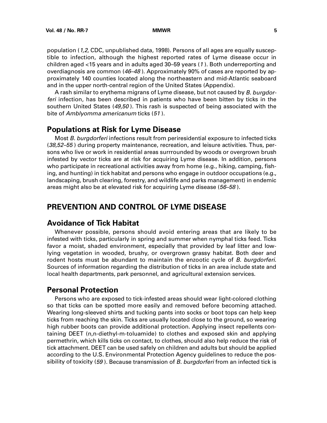<span id="page-10-0"></span>population (1,2, CDC, unpublished data, 1998). Persons of all ages are equally susceptible to infection, although the highest reported rates of Lyme disease occur in children aged <15 years and in adults aged 30–59 years (1 ). Both underreporting and overdiagnosis are common (46–48 ). Approximately 90% of cases are reported by approximately 140 counties located along the northeastern and mid-Atlantic seaboard and in the upper north-central region of the United States (Appendix).

A rash similar to erythema migrans of Lyme disease, but not caused by B. burgdorferi infection, has been described in patients who have been bitten by ticks in the southern United States (49,50). This rash is suspected of being associated with the bite of Amblyomma americanum ticks (51).

## **Populations at Risk for Lyme Disease**

Most B. burgdorferi infections result from periresidential exposure to infected ticks (38,52–55) during property maintenance, recreation, and leisure activities. Thus, persons who live or work in residential areas surrrounded by woods or overgrown brush infested by vector ticks are at risk for acquiring Lyme disease. In addition, persons who participate in recreational activities away from home (e.g., hiking, camping, fishing, and hunting) in tick habitat and persons who engage in outdoor occupations (e.g., landscaping, brush clearing, forestry, and wildlife and parks management) in endemic areas might also be at elevated risk for acquiring Lyme disease (56–58).

## **PREVENTION AND CONTROL OF LYME DISEASE**

## **Avoidance of Tick Habitat**

Whenever possible, persons should avoid entering areas that are likely to be infested with ticks, particularly in spring and summer when nymphal ticks feed. Ticks favor a moist, shaded environment, especially that provided by leaf litter and lowlying vegetation in wooded, brushy, or overgrown grassy habitat. Both deer and rodent hosts must be abundant to maintain the enzootic cycle of B. burgdorferi. Sources of information regarding the distribution of ticks in an area include state and local health departments, park personnel, and agricultural extension services.

### **Personal Protection**

Persons who are exposed to tick-infested areas should wear light-colored clothing so that ticks can be spotted more easily and removed before becoming attached. Wearing long-sleeved shirts and tucking pants into socks or boot tops can help keep ticks from reaching the skin. Ticks are usually located close to the ground, so wearing high rubber boots can provide additional protection. Applying insect repellents containing DEET (n,n-diethyl-m-toluamide) to clothes and exposed skin and applying permethrin, which kills ticks on contact, to clothes, should also help reduce the risk of tick attachment. DEET can be used safely on children and adults but should be applied according to the U.S. Environmental Protection Agency guidelines to reduce the possibility of toxicity (59). Because transmission of B. burgdorferi from an infected tick is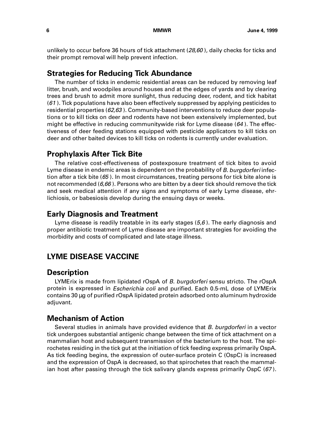<span id="page-11-0"></span>unlikely to occur before 36 hours of tick attachment  $(28,60)$ , daily checks for ticks and their prompt removal will help prevent infection.

### **Strategies for Reducing Tick Abundance**

The number of ticks in endemic residential areas can be reduced by removing leaf litter, brush, and woodpiles around houses and at the edges of yards and by clearing trees and brush to admit more sunlight, thus reducing deer, rodent, and tick habitat (61 ). Tick populations have also been effectively suppressed by applying pesticides to residential properties (62,63 ). Community-based interventions to reduce deer populations or to kill ticks on deer and rodents have not been extensively implemented, but might be effective in reducing communitywide risk for Lyme disease  $(64)$ . The effectiveness of deer feeding stations equipped with pesticide applicators to kill ticks on deer and other baited devices to kill ticks on rodents is currently under evaluation.

### **Prophylaxis After Tick Bite**

The relative cost-effectiveness of postexposure treatment of tick bites to avoid Lyme disease in endemic areas is dependent on the probability of B. burgdorferi infection after a tick bite  $(65)$ . In most circumstances, treating persons for tick bite alone is not recommended ( $6,66$ ). Persons who are bitten by a deer tick should remove the tick and seek medical attention if any signs and symptoms of early Lyme disease, ehrlichiosis, or babesiosis develop during the ensuing days or weeks.

### **Early Diagnosis and Treatment**

Lyme disease is readily treatable in its early stages  $(5,6)$ . The early diagnosis and proper antibiotic treatment of Lyme disease are important strategies for avoiding the morbidity and costs of complicated and late-stage illness.

## **LYME DISEASE VACCINE**

### **Description**

LYMErix is made from lipidated rOspA of B. burgdorferi sensu stricto. The rOspA protein is expressed in Escherichia coli and purified. Each 0.5-mL dose of LYMErix contains 30 µg of purified rOspA lipidated protein adsorbed onto aluminum hydroxide adjuvant.

## **Mechanism of Action**

Several studies in animals have provided evidence that *B. burgdorferi* in a vector tick undergoes substantial antigenic change between the time of tick attachment on a mammalian host and subsequent transmission of the bacterium to the host. The spirochetes residing in the tick gut at the initiation of tick feeding express primarily OspA. As tick feeding begins, the expression of outer-surface protein C (OspC) is increased and the expression of OspA is decreased, so that spirochetes that reach the mammalian host after passing through the tick salivary glands express primarily OspC (67 ).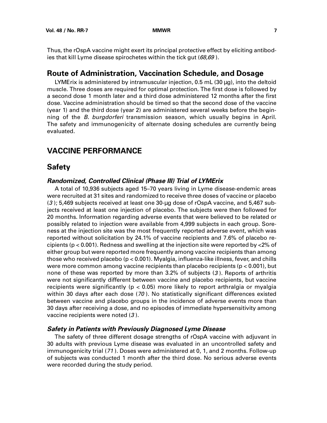<span id="page-12-0"></span>Thus, the rOspA vaccine might exert its principal protective effect by eliciting antibodies that kill Lyme disease spirochetes within the tick gut (68,69).

### **Route of Administration, Vaccination Schedule, and Dosage**

LYMErix is administered by intramuscular injection, 0.5 mL (30 µg), into the deltoid muscle. Three doses are required for optimal protection. The first dose is followed by a second dose 1 month later and a third dose administered 12 months after the first dose. Vaccine administration should be timed so that the second dose of the vaccine (year 1) and the third dose (year 2) are administered several weeks before the beginning of the *B. burgdorferi* transmission season, which usually begins in April. The safety and immunogenicity of alternate dosing schedules are currently being evaluated.

## **VACCINE PERFORMANCE**

## **Safety**

#### **Randomized, Controlled Clinical (Phase III) Trial of LYMErix**

A total of 10,936 subjects aged 15–70 years living in Lyme disease-endemic areas were recruited at 31 sites and randomized to receive three doses of vaccine or placebo (3 ); 5,469 subjects received at least one 30-µg dose of rOspA vaccine, and 5,467 subjects received at least one injection of placebo. The subjects were then followed for 20 months. Information regarding adverse events that were believed to be related or possibly related to injection were available from 4,999 subjects in each group. Soreness at the injection site was the most frequently reported adverse event, which was reported without solicitation by 24.1% of vaccine recipients and 7.6% of placebo recipients (p < 0.001). Redness and swelling at the injection site were reported by <2% of either group but were reported more frequently among vaccine recipients than among those who received placebo (p < 0.001). Myalgia, influenza-like illness, fever, and chills were more common among vaccine recipients than placebo recipients ( $p < 0.001$ ), but none of these was reported by more than 3.2% of subjects (3 ). Reports of arthritis were not significantly different between vaccine and placebo recipients, but vaccine recipients were significantly (p < 0.05) more likely to report arthralgia or myalgia within 30 days after each dose (70). No statistically significant differences existed between vaccine and placebo groups in the incidence of adverse events more than 30 days after receiving a dose, and no episodes of immediate hypersensitivity among vaccine recipients were noted (3 ).

#### **Safety in Patients with Previously Diagnosed Lyme Disease**

The safety of three different dosage strengths of rOspA vaccine with adjuvant in 30 adults with previous Lyme disease was evaluated in an uncontrolled safety and immunogenicity trial (71 ). Doses were administered at 0, 1, and 2 months. Follow-up of subjects was conducted 1 month after the third dose. No serious adverse events were recorded during the study period.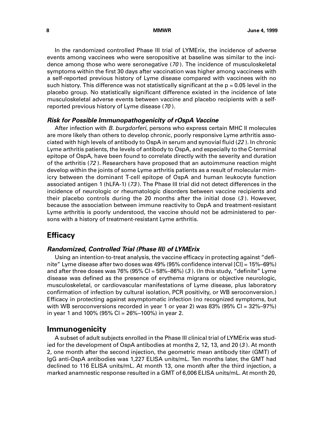<span id="page-13-0"></span>In the randomized controlled Phase III trial of LYMErix, the incidence of adverse events among vaccinees who were seropositive at baseline was similar to the incidence among those who were seronegative (70 ). The incidence of musculoskeletal symptoms within the first 30 days after vaccination was higher among vaccinees with a self-reported previous history of Lyme disease compared with vaccinees with no such history. This difference was not statistically significant at the  $p = 0.05$  level in the placebo group. No statistically significant difference existed in the incidence of late musculoskeletal adverse events between vaccine and placebo recipients with a selfreported previous history of Lyme disease (70 ).

#### **Risk for Possible Immunopathogenicity of rOspA Vaccine**

After infection with B. burgdorferi, persons who express certain MHC II molecules are more likely than others to develop chronic, poorly responsive Lyme arthritis associated with high levels of antibody to OspA in serum and synovial fluid (22 ). In chronic Lyme arthritis patients, the levels of antibody to OspA, and especially to the C-terminal epitope of OspA, have been found to correlate directly with the severity and duration of the arthritis (72 ). Researchers have proposed that an autoimmune reaction might develop within the joints of some Lyme arthritis patients as a result of molecular mimicry between the dominant T-cell epitope of OspA and human leukocyte function associated antigen 1 (hLFA-1) (73 ). The Phase III trial did not detect differences in the incidence of neurologic or rheumatologic disorders between vaccine recipients and their placebo controls during the 20 months after the initial dose (3 ). However, because the association between immune reactivity to OspA and treatment-resistant Lyme arthritis is poorly understood, the vaccine should not be administered to persons with a history of treatment-resistant Lyme arthritis.

## **Efficacy**

#### **Randomized, Controlled Trial (Phase III) of LYMErix**

Using an intention-to-treat analysis, the vaccine efficacy in protecting against "definite" Lyme disease after two doses was 49% (95% confidence interval [CI] = 15%–69%) and after three doses was 76% (95% CI =  $58\%$ – $86\%$ ) (3). (In this study, "definite" Lyme disease was defined as the presence of erythema migrans or objective neurologic, musculoskeletal, or cardiovascular manifestations of Lyme disease, plus laboratory confirmation of infection by cultural isolation, PCR positivity, or WB seroconversion.) Efficacy in protecting against asymptomatic infection (no recognized symptoms, but with WB seroconversions recorded in year 1 or year 2) was  $83\%$  (95% CI =  $32\%$ -97%) in year 1 and 100% (95% CI = 26%–100%) in year 2.

#### **Immunogenicity**

A subset of adult subjects enrolled in the Phase III clinical trial of LYMErix was studied for the development of OspA antibodies at months 2, 12, 13, and 20 (3 ). At month 2, one month after the second injection, the geometric mean antibody titer (GMT) of IgG anti-OspA antibodies was 1,227 ELISA units/mL. Ten months later, the GMT had declined to 116 ELISA units/mL. At month 13, one month after the third injection, a marked anamnestic response resulted in a GMT of 6,006 ELISA units/mL. At month 20,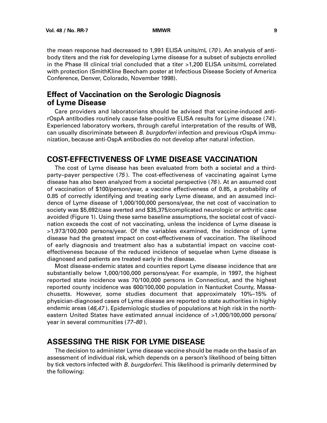<span id="page-14-0"></span>the mean response had decreased to 1,991 ELISA units/mL (70 ). An analysis of antibody titers and the risk for developing Lyme disease for a subset of subjects enrolled in the Phase III clinical trial concluded that a titer >1,200 ELISA units/mL correlated with protection (SmithKline Beecham poster at Infectious Disease Society of America Conference, Denver, Colorado, November 1998).

## **Effect of Vaccination on the Serologic Diagnosis of Lyme Disease**

Care providers and laboratorians should be advised that vaccine-induced antirOspA antibodies routinely cause false-positive ELISA results for Lyme disease (74 ). Experienced laboratory workers, through careful interpretation of the results of WB, can usually discriminate between B. burgdorferi infection and previous rOspA immunization, because anti-OspA antibodies do not develop after natural infection.

## **COST-EFFECTIVENESS OF LYME DISEASE VACCINATION**

The cost of Lyme disease has been evaluated from both a societal and a thirdparty–payer perspective (75 ). The cost-effectiveness of vaccinating against Lyme disease has also been analyzed from a societal perspective (76 ). At an assumed cost of vaccination of \$100/person/year, a vaccine effectiveness of 0.85, a probability of 0.85 of correctly identifying and treating early Lyme disease, and an assumed incidence of Lyme disease of 1,000/100,000 persons/year, the net cost of vaccination to society was \$5,692/case averted and \$35,375/complicated neurologic or arthritic case avoided (Figure 1). Using these same baseline assumptions, the societal cost of vaccination exceeds the cost of not vaccinating, unless the incidence of Lyme disease is >1,973/100,000 persons/year. Of the variables examined, the incidence of Lyme disease had the greatest impact on cost-effectiveness of vaccination. The likelihood of early diagnosis and treatment also has a substantial impact on vaccine costeffectiveness because of the reduced incidence of sequelae when Lyme disease is diagnosed and patients are treated early in the disease.

Most disease-endemic states and counties report Lyme disease incidence that are substantially below 1,000/100,000 persons/year. For example, in 1997, the highest reported state incidence was 70/100,000 persons in Connecticut, and the highest reported county incidence was 600/100,000 population in Nantucket County, Massachusetts. However, some studies document that approximately 10%–15% of physician-diagnosed cases of Lyme disease are reported to state authorities in highly endemic areas (46,47). Epidemiologic studies of populations at high risk in the northeastern United States have estimated annual incidence of >1,000/100,000 persons/ year in several communities (77–80 ).

## **ASSESSING THE RISK FOR LYME DISEASE**

The decision to administer Lyme disease vaccine should be made on the basis of an assessment of individual risk, which depends on a person's likelihood of being bitten by tick vectors infected with B. burgdorferi. This likelihood is primarily determined by the following: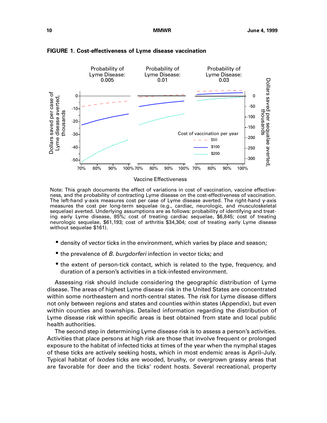

#### **FIGURE 1. Cost-effectiveness of Lyme disease vaccination**

Vaccine Effectiveness

Note: This graph documents the effect of variations in cost of vaccination, vaccine effectiveness, and the probability of contracting Lyme disease on the cost-effectiveness of vaccination. The left-hand y-axis measures cost per case of Lyme disease averted. The right-hand y-axis measures the cost per long-term sequelae (e.g., cardiac, neurologic, and musculoskeletal sequelae) averted. Underlying assumptions are as follows: probability of identifying and treating early Lyme disease, 85%; cost of treating cardiac sequelae, \$6,845; cost of treating neurologic sequelae, \$61,193; cost of arthritis \$34,304; cost of treating early Lyme disease without sequelae \$161).

- density of vector ticks in the environment, which varies by place and season;
- the prevalence of *B. burgdorferi* infection in vector ticks; and
- the extent of person-tick contact, which is related to the type, frequency, and duration of a person's activities in a tick-infested environment.

Assessing risk should include considering the geographic distribution of Lyme disease. The areas of highest Lyme disease risk in the United States are concentrated within some northeastern and north-central states. The risk for Lyme disease differs not only between regions and states and counties within states (Appendix), but even within counties and townships. Detailed information regarding the distribution of Lyme disease risk within specific areas is best obtained from state and local public health authorities.

The second step in determining Lyme disease risk is to assess a person's activities. Activities that place persons at high risk are those that involve frequent or prolonged exposure to the habitat of infected ticks at times of the year when the nymphal stages of these ticks are actively seeking hosts, which in most endemic areas is April–July. Typical habitat of *Ixodes* ticks are wooded, brushy, or overgrown grassy areas that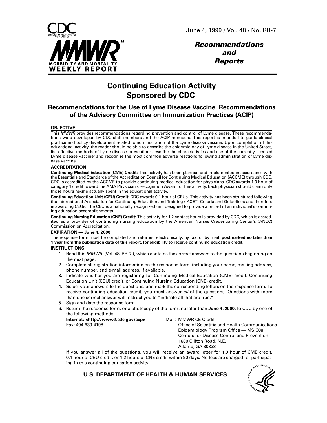

**Recommendations and Reports**

## **Continuing Education Activity Sponsored by CDC**

### **Recommendations for the Use of Lyme Disease Vaccine: Recommendations of the Advisory Committee on Immunization Practices (ACIP)**

#### **OBJECTIVE**

This MMWR provides recommendations regarding prevention and control of Lyme disease. These recommendations were developed by CDC staff members and the ACIP members. This report is intended to guide clinical practice and policy development related to administration of the Lyme disease vaccine. Upon completion of this educational activity, the reader should be able to describe the epidemiology of Lyme disease in the United States; list effective methods of Lyme disease prevention; describe the characteristics and use of the currently licensed Lyme disease vaccine; and recognize the most common adverse reactions following administration of Lyme disease vaccine.

#### **ACCREDITATION**

**Continuing Medical Education (CME) Credit:** This activity has been planned and implemented in accordance with the Essentials and Standards of the Accreditation Council for Continuing Medical Education (ACCME) through CDC. CDC is accredited by the ACCME to provide continuing medical education for physicians. CDC awards 1.0 hour of category 1 credit toward the AMA Physician's Recognition Award for this activity. Each physician should claim only those hours he/she actually spent in the educational activity.

**Continuing Education Unit (CEU) Credit:** CDC awards 0.1 hour of CEUs. This activity has been structured following the International Association for Continuing Education and Training (IACET) Criteria and Guidelines and therefore is awarding CEUs. The CEU is a nationally recognized unit designed to provide a record of an individual's continuing education accomplishments.

**Continuing Nursing Education (CNE) Credit:** This activity for 1.2 contact hours is provided by CDC, which is accredited as a provider of continuing nursing education by the American Nurses Credentialing Center's (ANCC) Commission on Accreditation.

#### **EXPIRATION — June 4, 2000**

The response form must be completed and returned electronically, by fax, or by mail, **postmarked no later than 1 year from the publication date of this report**, for eligibility to receive continuing education credit.

#### **INSTRUCTIONS**

- 1. Read this MMWR (Vol. 48, RR-7), which contains the correct answers to the questions beginning on the next page.
- 2. Complete all registration information on the response form, including your name, mailing address, phone number, and e-mail address, if available.
- 3. Indicate whether you are registering for Continuing Medical Education (CME) credit, Continuing Education Unit (CEU) credit, or Continuing Nursing Education (CNE) credit.
- 4. Select your answers to the questions, and mark the corresponding letters on the response form. To receive continuing education credit, you must answer all of the questions. Questions with more than one correct answer will instruct you to "indicate all that are true."
- 5. Sign and date the response form.
- 6. Return the response form, or a photocopy of the form, no later than **June 4, 2000**, to CDC by one of the following methods:

**Internet: <http://www2.cdc.gov/cep>** Mail: MMWR CE Credit

Fax: 404-639-4198 Office of Scientific and Health Communications Epidemiology Program Office — MS C08 Centers for Disease Control and Prevention 1600 Clifton Road, N.E. Atlanta, GA 30333

If you answer all of the questions, you will receive an award letter for 1.0 hour of CME credit, 0.1 hour of CEU credit, or 1.2 hours of CNE credit within 90 days. No fees are charged for participating in this continuing education activity.

**U.S. DEPARTMENT OF HEALTH & HUMAN SERVICES**

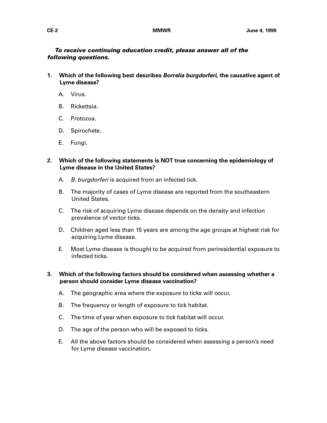**To receive continuing education credit, please answer all of the following questions.**

- **1. Which of the following best describes Borrelia burgdorferi, the causative agent of Lyme disease?**
	- A. Virus.
	- B. Rickettsia.
	- C. Protozoa.
	- D. Spirochete.
	- E. Fungi.
- **2. Which of the following statements is NOT true concerning the epidemiology of Lyme disease in the United States?**
	- A. B. burgdorferi is acquired from an infected tick.
	- B. The majority of cases of Lyme disease are reported from the southeastern United States.
	- C. The risk of acquiring Lyme disease depends on the density and infection prevalence of vector ticks.
	- D. Children aged less than 15 years are among the age groups at highest risk for acquiring Lyme disease.
	- E. Most Lyme disease is thought to be acquired from periresidential exposure to infected ticks.
- **3. Which of the following factors should be considered when assessing whether a person should consider Lyme disease vaccination?**
	- A. The geographic area where the exposure to ticks will occur.
	- B. The frequency or length of exposure to tick habitat.
	- C. The time of year when exposure to tick habitat will occur.
	- D. The age of the person who will be exposed to ticks.
	- E. All the above factors should be considered when assessing a person's need for Lyme disease vaccination.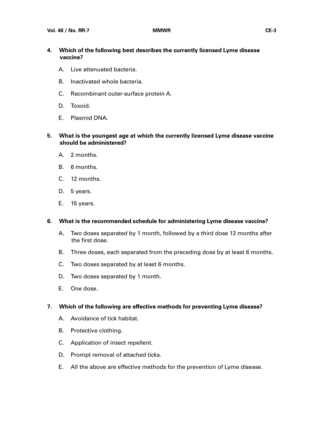- **4. Which of the following best describes the currently licensed Lyme disease vaccine?**
	- A. Live attenuated bacteria.
	- B. Inactivated whole bacteria.
	- C. Recombinant outer-surface protein A.
	- D. Toxoid.
	- E. Plasmid DNA.
- **5. What is the youngest age at which the currently licensed Lyme disease vaccine should be administered?**
	- A. 2 months.
	- B. 6 months.
	- C. 12 months.
	- D. 5 years.
	- E. 15 years.

#### **6. What is the recommended schedule for administering Lyme disease vaccine?**

- A. Two doses separated by 1 month, followed by a third dose 12 months after the first dose.
- B. Three doses, each separated from the preceding dose by at least 6 months.
- C. Two doses separated by at least 6 months.
- D. Two doses separated by 1 month.
- E. One dose.

#### **7. Which of the following are effective methods for preventing Lyme disease?**

- A. Avoidance of tick habitat.
- B. Protective clothing.
- C. Application of insect repellent.
- D. Prompt removal of attached ticks.
- E. All the above are effective methods for the prevention of Lyme disease.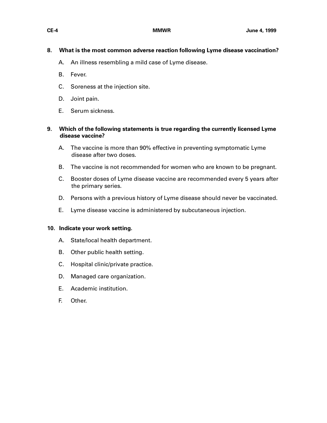#### **8. What is the most common adverse reaction following Lyme disease vaccination?**

- A. An illness resembling a mild case of Lyme disease.
- B. Fever.
- C. Soreness at the injection site.
- D. Joint pain.
- E. Serum sickness.

#### **9. Which of the following statements is true regarding the currently licensed Lyme disease vaccine?**

- A. The vaccine is more than 90% effective in preventing symptomatic Lyme disease after two doses.
- B. The vaccine is not recommended for women who are known to be pregnant.
- C. Booster doses of Lyme disease vaccine are recommended every 5 years after the primary series.
- D. Persons with a previous history of Lyme disease should never be vaccinated.
- E. Lyme disease vaccine is administered by subcutaneous injection.

#### **10. Indicate your work setting.**

- A. State/local health department.
- B. Other public health setting.
- C. Hospital clinic/private practice.
- D. Managed care organization.
- E. Academic institution.
- F. Other.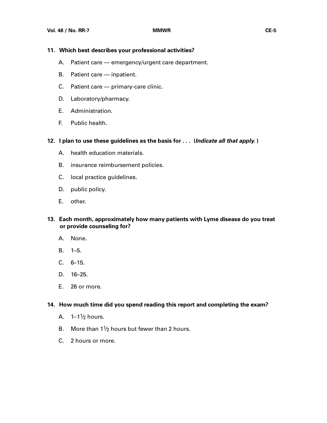#### **11. Which best describes your professional activities?**

- A. Patient care emergency/urgent care department.
- B. Patient care inpatient.
- C. Patient care primary-care clinic.
- D. Laboratory/pharmacy.
- E. Administration.
- F. Public health.
- **12. I plan to use these guidelines as the basis for . . . (Indicate all that apply. )**
	- A. health education materials.
	- B. insurance reimbursement policies.
	- C. local practice guidelines.
	- D. public policy.
	- E. other.
- **13. Each month, approximately how many patients with Lyme disease do you treat or provide counseling for?**
	- A. None.
	- B. 1–5.
	- C. 6–15.
	- D. 16–25.
	- E. 26 or more.

#### **14. How much time did you spend reading this report and completing the exam?**

- A.  $1-1\frac{1}{2}$  hours.
- B. More than  $1\frac{1}{2}$  hours but fewer than 2 hours.
- C. 2 hours or more.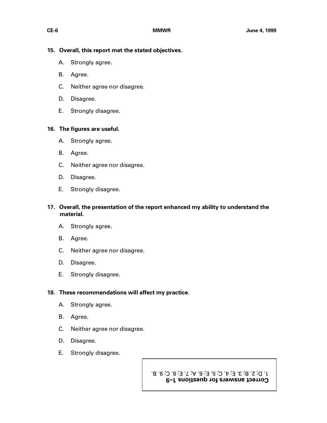#### **15. Overall, this report met the stated objectives.**

- A. Strongly agree.
- B. Agree.
- C. Neither agree nor disagree.
- D. Disagree.
- E. Strongly disagree.

#### **16. The figures are useful.**

- A. Strongly agree.
- B. Agree.
- C. Neither agree nor disagree.
- D. Disagree.
- E. Strongly disagree.

#### **17. Overall, the presentation of the report enhanced my ability to understand the material.**

- A. Strongly agree.
- B. Agree.
- C. Neither agree nor disagree.
- D. Disagree.
- E. Strongly disagree.

#### **18. These recommendations will affect my practice.**

- A. Strongly agree.
- B. Agree.
- C. Neither agree nor disagree.
- D. Disagree.
- E. Strongly disagree.

**Correct answers for questions 1–9** 1. D; 2. B; 3. E; 4. C; 5. E; 6. A; 7. E; 8. C; 9. B.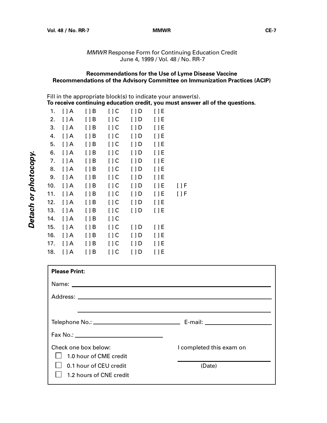MMWR Response Form for Continuing Education Credit June 4, 1999 / Vol. 48 / No. RR-7

#### **Recommendations for the Use of Lyme Disease Vaccine Recommendations of the Advisory Committee on Immunization Practices (ACIP)**

Fill in the appropriate block(s) to indicate your answer(s).

**To receive continuing education credit, you must answer all of the questions.**

| 1.  | $\Box A$  | $[$ $]$ B   | $\left[\right]$ C | [ ] D       | $[$ $]$ E   |           |
|-----|-----------|-------------|-------------------|-------------|-------------|-----------|
| 2.  | $[$ $]$ A | $[$ $]$ $B$ | $[$ $]$ $C$       | [ ] D       | $[$ $]$ $E$ |           |
| 3.  | $[$ $]$ A | $[$ $]$ B   | $[$ $]$ $C$       | [ ] D       | $[$ $]$ $E$ |           |
| 4.  | $[$ $]$ A | $[$ $]$ $B$ | [ ] C             | $[$ $]$ $D$ | $[$ $]$ $E$ |           |
| 5.  | $[ \ ] A$ | $[$ $]$ B   | $[$ $]$ $C$       | $[$ $]$ $D$ | $[ \ ]E$    |           |
| 6.  | $[$ $]$ A | $[$ $]$ B   | $[$ $]$ $C$       | $[$ $]$ D   | $[$ $]$ $E$ |           |
| 7.  | $[$ $]$ A | $[$ $]$ B   | $[$ $]$ $C$       | $[$ $]$ $D$ | $[ \ ]E$    |           |
| 8.  | $[$ $]$ A | $[$ $]$ B   | $[$ $]$ $C$       | $[$ $]$ D   | $[$ $]$ $E$ |           |
| 9.  | $[$ $]$ A | $[$ $]$ $B$ | $[$ $]$ $C$       | $[ \ ]$ D   | $[$ $]$ $E$ |           |
| 10. | $[$ $]$ A | $[$ $]$ B   | $[$ $]$ $C$       | $[ \ ]$ D   | $[$ $]$ $E$ | $[ \ ] F$ |
| 11. | $[$ $]$ A | [ ] B       | $[$ $]$ $C$       | $[ \ ]$ D   | $[$ $]$ $E$ | [ ] F     |
| 12. | $[$ $]$ A | $[$ $]$ B   | $[$ $]$ $C$       | $[$ $]$ $D$ | $[$ $]$ $E$ |           |
| 13. | $[$ $]$ A | $[$ $]$ $B$ | $[$ $]$ $C$       | $[$ $]$ $D$ | $[$ $]$ $E$ |           |
| 14. | $[$ $]$ A | $[$ $]$ B   | [ ] C             |             |             |           |
| 15. | $[$ $]$ A | $[$ $]$ B   | $[$ $]$ $C$       | $[$ $]$ $D$ | $[$ $]$ $E$ |           |
| 16. | $[$ $]$ A | $[$ $]$ B   | $[$ $]$ $C$       | [ ] D       | $[$ $]$ $E$ |           |
| 17. | $[$ $]$ A | $[$ $]$ B   | $[$ $]$ $C$       | $[$ $]$ $D$ | $[$ $]$ $E$ |           |
| 18. | $[$ $]$ A | [ ] B       | [ ] C             | $[$ $]$ $D$ | [ ] E       |           |

| <b>Please Print:</b>    |                          |  |  |
|-------------------------|--------------------------|--|--|
|                         |                          |  |  |
|                         |                          |  |  |
|                         |                          |  |  |
|                         |                          |  |  |
|                         |                          |  |  |
| Check one box below:    | I completed this exam on |  |  |
| 1.0 hour of CME credit  |                          |  |  |
| 0.1 hour of CEU credit  | (Date)                   |  |  |
| 1.2 hours of CNE credit |                          |  |  |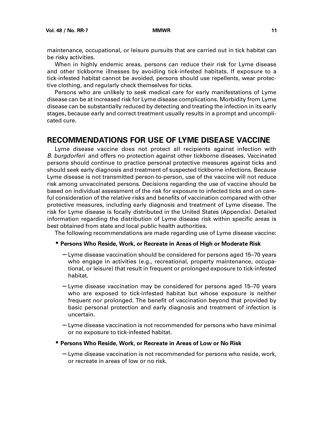<span id="page-23-0"></span>maintenance, occupational, or leisure pursuits that are carried out in tick habitat can be risky activities.

When in highly endemic areas, persons can reduce their risk for Lyme disease and other tickborne illnesses by avoiding tick-infested habitats. If exposure to a tick-infested habitat cannot be avoided, persons should use repellents, wear protective clothing, and regularly check themselves for ticks.

Persons who are unlikely to seek medical care for early manifestations of Lyme disease can be at increased risk for Lyme disease complications. Morbidity from Lyme disease can be substantially reduced by detecting and treating the infection in its early stages, because early and correct treatment usually results in a prompt and uncomplicated cure.

### **RECOMMENDATIONS FOR USE OF LYME DISEASE VACCINE**

Lyme disease vaccine does not protect all recipients against infection with B. burgdorferi and offers no protection against other tickborne diseases. Vaccinated persons should continue to practice personal protective measures against ticks and should seek early diagnosis and treatment of suspected tickborne infections. Because Lyme disease is not transmitted person-to-person, use of the vaccine will not reduce risk among unvaccinated persons. Decisions regarding the use of vaccine should be based on individual assessment of the risk for exposure to infected ticks and on careful consideration of the relative risks and benefits of vaccination compared with other protective measures, including early diagnosis and treatment of Lyme disease. The risk for Lyme disease is focally distributed in the United States (Appendix). Detailed information regarding the distribution of Lyme disease risk within specific areas is best obtained from state and local public health authorities.

The following recommendations are made regarding use of Lyme disease vaccine:

#### • **Persons Who Reside, Work, or Recreate in Areas of High or Moderate Risk**

- Lyme disease vaccination should be considered for persons aged 15–70 years who engage in activities (e.g., recreational, property maintenance, occupational, or leisure) that result in frequent or prolonged exposure to tick-infested habitat.
- Lyme disease vaccination may be considered for persons aged 15–70 years who are exposed to tick-infested habitat but whose exposure is neither frequent nor prolonged. The benefit of vaccination beyond that provided by basic personal protection and early diagnosis and treatment of infection is uncertain.
- Lyme disease vaccination is not recommended for persons who have minimal or no exposure to tick-infested habitat.
- **Persons Who Reside, Work, or Recreate in Areas of Low or No Risk**
	- Lyme disease vaccination is not recommended for persons who reside, work, or recreate in areas of low or no risk.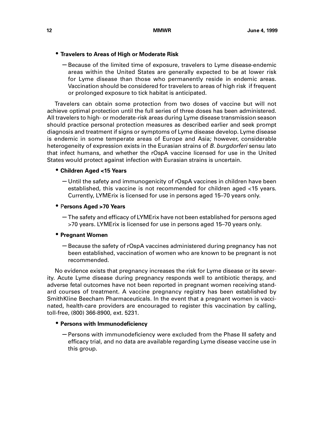#### • **Travelers to Areas of High or Moderate Risk**

– Because of the limited time of exposure, travelers to Lyme disease-endemic areas within the United States are generally expected to be at lower risk for Lyme disease than those who permanently reside in endemic areas. Vaccination should be considered for travelers to areas of high risk if frequent or prolonged exposure to tick habitat is anticipated.

Travelers can obtain some protection from two doses of vaccine but will not achieve optimal protection until the full series of three doses has been administered. All travelers to high- or moderate-risk areas during Lyme disease transmission season should practice personal protection measures as described earlier and seek prompt diagnosis and treatment if signs or symptoms of Lyme disease develop. Lyme disease is endemic in some temperate areas of Europe and Asia; however, considerable heterogeneity of expression exists in the Eurasian strains of B. burgdorferi sensu lato that infect humans, and whether the rOspA vaccine licensed for use in the United States would protect against infection with Eurasian strains is uncertain.

#### • **Children Aged <15 Years**

– Until the safety and immunogenicity of rOspA vaccines in children have been established, this vaccine is not recommended for children aged <15 years. Currently, LYMErix is licensed for use in persons aged 15–70 years only.

#### • P**ersons Aged >70 Years**

– The safety and efficacy of LYMErix have not been established for persons aged >70 years. LYMErix is licensed for use in persons aged 15–70 years only.

#### • **Pregnant Women**

– Because the safety of rOspA vaccines administered during pregnancy has not been established, vaccination of women who are known to be pregnant is not recommended.

No evidence exists that pregnancy increases the risk for Lyme disease or its severity. Acute Lyme disease during pregnancy responds well to antibiotic therapy, and adverse fetal outcomes have not been reported in pregnant women receiving standard courses of treatment. A vaccine pregnancy registry has been established by SmithKline Beecham Pharmaceuticals. In the event that a pregnant women is vaccinated, health-care providers are encouraged to register this vaccination by calling, toll-free, (800) 366-8900, ext. 5231.

#### • **Persons with Immunodeficiency**

– Persons with immunodeficiency were excluded from the Phase III safety and efficacy trial, and no data are available regarding Lyme disease vaccine use in this group.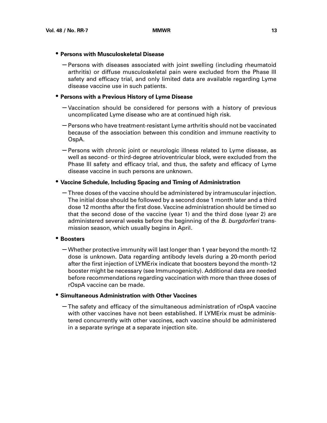#### • **Persons with Musculoskeletal Disease**

– Persons with diseases associated with joint swelling (including rheumatoid arthritis) or diffuse musculoskeletal pain were excluded from the Phase III safety and efficacy trial, and only limited data are available regarding Lyme disease vaccine use in such patients.

#### • **Persons with a Previous History of Lyme Disease**

- Vaccination should be considered for persons with a history of previous uncomplicated Lyme disease who are at continued high risk.
- Persons who have treatment-resistant Lyme arthritis should not be vaccinated because of the association between this condition and immune reactivity to OspA.
- Persons with chronic joint or neurologic illness related to Lyme disease, as well as second- or third-degree atrioventricular block, were excluded from the Phase III safety and efficacy trial, and thus, the safety and efficacy of Lyme disease vaccine in such persons are unknown.

#### • **Vaccine Schedule, Including Spacing and Timing of Administration**

– Three doses of the vaccine should be administered by intramuscular injection. The initial dose should be followed by a second dose 1 month later and a third dose 12 months after the first dose. Vaccine administration should be timed so that the second dose of the vaccine (year 1) and the third dose (year 2) are administered several weeks before the beginning of the B. burgdorferi transmission season, which usually begins in April.

#### • **Boosters**

– Whether protective immunity will last longer than 1 year beyond the month-12 dose is unknown. Data regarding antibody levels during a 20-month period after the first injection of LYMErix indicate that boosters beyond the month-12 booster might be necessary (see Immunogenicity). Additional data are needed before recommendations regarding vaccination with more than three doses of rOspA vaccine can be made.

#### • **Simultaneous Administration with Other Vaccines**

– The safety and efficacy of the simultaneous administration of rOspA vaccine with other vaccines have not been established. If LYMErix must be administered concurrently with other vaccines, each vaccine should be administered in a separate syringe at a separate injection site.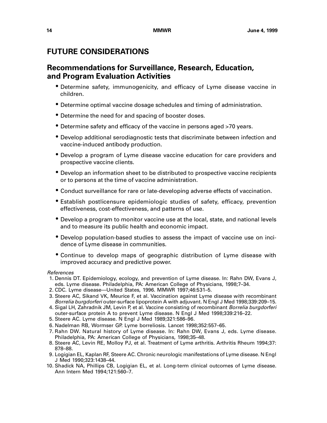## <span id="page-26-0"></span>**FUTURE CONSIDERATIONS**

## **Recommendations for Surveillance, Research, Education, and Program Evaluation Activities**

- Determine safety, immunogenicity, and efficacy of Lyme disease vaccine in children.
- Determine optimal vaccine dosage schedules and timing of administration.
- Determine the need for and spacing of booster doses.
- Determine safety and efficacy of the vaccine in persons aged >70 years.
- Develop additional serodiagnostic tests that discriminate between infection and vaccine-induced antibody production.
- Develop a program of Lyme disease vaccine education for care providers and prospective vaccine clients.
- Develop an information sheet to be distributed to prospective vaccine recipients or to persons at the time of vaccine administration.
- Conduct surveillance for rare or late-developing adverse effects of vaccination.
- Establish postlicensure epidemiologic studies of safety, efficacy, prevention effectiveness, cost-effectiveness, and patterns of use.
- Develop a program to monitor vaccine use at the local, state, and national levels and to measure its public health and economic impact.
- Develop population-based studies to assess the impact of vaccine use on incidence of Lyme disease in communities.
- Continue to develop maps of geographic distribution of Lyme disease with improved accuracy and predictive power.

#### References

- 1. Dennis DT. Epidemiology, ecology, and prevention of Lyme disease. In: Rahn DW, Evans J, eds. Lyme disease. Philadelphia, PA: American College of Physicians, 1998;7–34.
- 2. CDC. Lyme disease—United States, 1996. MMWR 1997;46:531–5.
- 3. Steere AC, Sikand VK, Meurice F, et al. Vaccination against Lyme disease with recombinant Borrelia burgdorferi outer-surface lipoprotein A with adjuvant. N Engl J Med 1998;339:209–15.
- 4. Sigal LH, Zahradnik JM, Levin P, et al. Vaccine consisting of recombinant Borrelia burgdorferi outer-surface protein A to prevent Lyme disease. N Engl J Med 1998;339:216–22.
- 5. Steere AC. Lyme disease. N Engl J Med 1989;321:586–96.
- 6. Nadelman RB, Wormser GP. Lyme borreliosis. Lancet 1998;352:557–65.
- 7. Rahn DW. Natural history of Lyme disease. In: Rahn DW, Evans J, eds. Lyme disease. Philadelphia, PA: American College of Physicians, 1998;35–48.
- 8. Steere AC, Levin RE, Molloy PJ, et al. Treatment of Lyme arthritis. Arthritis Rheum 1994;37: 878–88.
- 9. Logigian EL, Kaplan RF, Steere AC. Chronic neurologic manifestations of Lyme disease. N Engl J Med 1990;323:1438–44.
- 10. Shadick NA, Phillips CB, Logigian EL, et al. Long-term clinical outcomes of Lyme disease. Ann Intern Med 1994;121:560–7.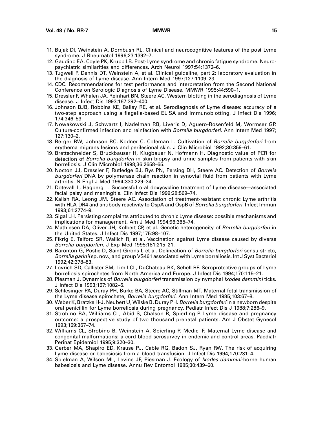- 11. Bujak DI, Weinstein A, Dornbush RL. Clinical and neurocognitive features of the post Lyme syndrome. J Rheumatol 1996;23:1392–7.
- 12. Gaudino EA, Coyle PK, Krupp LB. Post-Lyme syndrome and chronic fatigue syndrome. Neuropsychiatric similarities and differences. Arch Neurol 1997;54:1372–6.
- 13. Tugwell P, Dennis DT, Weinstein A, et al. Clinical guideline, part 2: laboratory evaluation in the diagnosis of Lyme disease. Ann Intern Med 1997;127:1109–23.
- 14. CDC. Recommendations for test performance and interpretation from the Second National Conference on Serologic Diagnosis of Lyme Disease. MMWR 1995;44:590–1.
- 15. Dressler F, Whalen JA, Reinhart BN, Steere AC. Western blotting in the serodiagnosis of Lyme disease. J Infect Dis 1993;167:392–400.
- 16. Johnson BJB, Robbins KE, Bailey RE, et al. Serodiagnosis of Lyme disease: accuracy of a two-step approach using a flagella-based ELISA and immunoblotting. J Infect Dis 1996; 174:346–53.
- 17. Nowakowski J, Schwartz I, Nadelman RB, Liveris D, Aguero-Rosenfeld M, Wormser GP. Culture-confirmed infection and reinfection with Borrelia burgdorferi. Ann Intern Med 1997; 127:130–2.
- 18. Berger BW, Johnson RC, Kodner C, Coleman L. Cultivation of Borrelia burgdorferi from erythema migrans lesions and perilesional skin. J Clin Microbiol 1992;30:359–61.
- 19. Brettschneider S, Bruckbauser H, Klugbauer N, Hofmann H. Diagnostic value of PCR for detection of Borrelia burgdorferi in skin biopsy and urine samples from patients with skin borreliosis. J Clin Microbiol 1998;36:2658–65.
- 20. Nocton JJ, Dressler F, Rutledge BJ, Rys PN, Persing DH, Steere AC. Detection of Borrelia burgdorferi DNA by polymerase chain reaction in synovial fluid from patients with Lyme arthritis. N Engl J Med 1994;330:229–34.
- 21. Dotevall L, Hagberg L. Successful oral doxycycline treatment of Lyme disease—associated facial palsy and meningitis. Clin Infect Dis 1999;28:569–74.
- 22. Kalish RA, Leong JM, Steere AC. Association of treatment-resistant chronic Lyme arthritis with HLA-DR4 and antibody reactivity to OspA and OspB of *Borrelia burgdorferi*. Infect Immun 1993;61:2774–9.
- 23. Sigal LH. Persisting complaints attributed to chronic Lyme disease: possible mechanisms and implications for management. Am J Med 1994;96:365–74.
- 24. Mathiesen DA, Oliver JH, Kolbert CP, et al. Genetic heterogeneity of Borrelia burgdorferi in the United States. J Infect Dis 1997;175:98–107.
- 25. Fikrig E, Telford SR, Wallich R, et al. Vaccination against Lyme disease caused by diverse Borrelia burgdorferi. J Exp Med 1995;181:215–21.
- 26. Baronton G, Postic D, Saint Girons I, et al. Delineation of Borrelia burgdorferi sensu stricto, Borrelia garinii sp. nov., and group VS461 associated with Lyme borreliosis. Int J Syst Bacteriol 1992;42:378–83.
- 27. Lovrich SD, Callister SM, Lim LCL, DuChateau BK, Sehell RF. Seroprotective groups of Lyme borreliosis spirochetes from North America and Europe. J Infect Dis 1994;170:115–21.
- 28. Piesman J. Dynamics of Borrelia burgdorferi transmission by nymphal Ixodes dammini ticks. J Infect Dis 1993;167:1082–5.
- 29. Schlesinger PA, Duray PH, Burke BA, Steere AC, Stillman MT. Maternal-fetal transmission of the Lyme disease spirochete, Borrelia burgdorferi. Ann Intern Med 1985;103:67–8.
- 30. Weber K, Bratzke H-J, Neubert U, Wilske B, Duray PH. Borrelia burgdorferi in a newborn despite oral penicillin for Lyme borreliosis during pregnancy. Pediatr Infect Dis J 1988;7:286–9.
- 31. Strobino BA, Williams CL, Abid S, Chalson R, Spierling P. Lyme disease and pregnancy outcome: a prospective study of two thousand prenatal patients. Am J Obstet Gynecol 1993;169:367–74.
- 32. Williams CL, Strobino B, Weinstein A, Spierling P, Medici F. Maternal Lyme disease and congenital malformations: a cord blood serosurvey in endemic and control areas. Paediatr Perinat Epidemiol 1995;9:320–30.
- 33. Gerber MA, Shapiro ED, Krause PJ, Cable RG, Badon SJ, Ryan RW. The risk of acquiring Lyme disease or babesiosis from a blood transfusion. J Infect Dis 1994;170:231–4.
- 34. Spielman A, Wilson ML, Levine JF, Piesman J. Ecology of Ixodes dammini-borne human babesiosis and Lyme disease. Annu Rev Entomol 1985;30:439–60.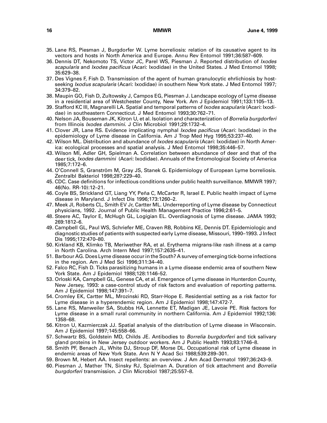- 35. Lane RS, Piesman J, Burgdorfer W. Lyme borreliosis: relation of its causative agent to its vectors and hosts in North America and Europe. Annu Rev Entomol 1991;36:587–609.
- 36. Dennis DT, Nekomoto TS, Victor JC, Parel WS, Piesman J. Reported distribution of Ixodes scapularis and Ixodes pacificus (Acari: Ixodidae) in the United States. J Med Entomol 1998; 35:629–38.
- 37. Des Vignes F, Fish D. Transmission of the agent of human granulocytic ehrlichiosis by hostseeking *Ixodus scapularis* (Acari: Ixodidae) in southern New York state. J Med Entomol 1997; 34:379–82.
- 38. Maupin GO, Fish D, Zultowsky J, Campos EG, Piesman J. Landscape ecology of Lyme disease in a residential area of Westchester County, New York. Am J Epidemiol 1991;133:1105–13.
- 39. Stafford KC III, Magnarelli LA. Spatial and temporal patterns of Ixodes scapularis (Acari: Ixodidae) in southeastern Connecticut. J Med Entomol 1993;30:762–71.
- 40. Nelson JA, Bouseman JK, Kitron U, et al. Isolation and characterization of Borrelia burgdorferi from Illinois Ixodes dammini. J Clin Microbiol 1991;29:1732–4.
- 41. Clover JR, Lane RS. Evidence implicating nymphal *Ixodes pacificus* (Acari: Ixodidae) in the epidemiology of Lyme disease in California. Am J Trop Med Hyg 1995;53:237–40.
- 42. Wilson ML. Distribution and abundance of *Ixodes scapularis* (Acari: Ixodidae) in North America: ecological processes and spatial analysis. J Med Entomol 1998;35:446–57.
- 43. Wilson MI, Adler GH, Spielman A. Correlation between abundance of deer and that of the deer tick, Ixodes dammini (Acari: Ixodidae). Annuals of the Entomological Society of America 1985;7:172–6.
- 44. O'Connell S, Granström M, Gray JS, Stanek G. Epidemiology of European Lyme borreliosis. Zentralbl Bakteriol 1998;287:229–40.
- 45. CDC. Case definitions for infectious conditions under public health surveillance. MMWR 1997; 46(No. RR-10):12–21.
- 46. Coyle BS, Strickland GT, Liang YY, Peña C, McCarter R, Israel E. Public health impact of Lyme disease in Maryland. J Infect Dis 1996;173:1260–2.
- 47. Meek JI, Roberts CL, Smith EV Jr, Cartter ML. Underreporting of Lyme disease by Connecticut physicians, 1992. Journal of Public Health Management Practice 1996;2:61–5.
- 48. Steere AC, Taylor E, McHugh GL, Logigian EL. Overdiagnosis of Lyme disease. JAMA 1993; 269:1812–6.
- 49. Campbell GL, Paul WS, Schriefer ME, Craven RB, Robbins KE, Dennis DT. Epidemiologic and diagnostic studies of patients with suspected early Lyme disease, Missouri, 1990–1993. J Infect Dis 1995;172:470–80.
- 50. Kirkland KB, Klimko TB, Meriwether RA, et al. Erythema migrans-like rash illness at a camp in North Carolina. Arch Intern Med 1997;157:2635–41.
- 51. Barbour AG. Does Lyme disease occur in the South? A survey of emerging tick-borne infections in the region. Am J Med Sci 1996;311:34–40.
- 52. Falco RC, Fish D. Ticks parasitizing humans in a Lyme disease endemic area of southern New York State. Am J Epidemiol 1988;128:1146–52.
- 53. Orloski KA, Campbell GL, Genese CA, et al. Emergence of Lyme disease in Hunterdon County, New Jersey, 1993: a case-control study of risk factors and evaluation of reporting patterns. Am J Epidemiol 1998;147:391–7.
- 54. Cromley EK, Cartter ML, Mrozinski RD, Starr-Hope E. Residential setting as a risk factor for Lyme disease in a hyperendemic region. Am J Epidemiol 1998;147:472-7.
- 55. Lane RS, Manweiler SA, Stubbs HA, Lennette ET, Madigan JE, Lavoie PE. Risk factors for Lyme disease in a small rural community in northern California. Am J Epidemiol 1992;136: 1358–68.
- 56. Kitron U, Kazmierczak JJ. Spatial analysis of the distribution of Lyme disease in Wisconsin. Am J Epidemiol 1997;145:558–66.
- 57. Schwartz BS, Goldstein MD, Childs JE. Antibodies to *Borrelia burgdorferi* and tick salivary gland proteins in New Jersey outdoor workers. Am J Public Health 1993;83:1746–8.
- 58. Smith PF, Benach JL, White DJ, Stroup DF, Morse DL. Occupational risk of Lyme disease in endemic areas of New York State. Ann N Y Acad Sci 1988;539:289–301.
- 59. Brown M, Hebert AA. Insect repellents: an overview. J Am Acad Dermatol 1997;36:243–9.
- 60. Piesman J, Mather TN, Sinsky RJ, Spielman A. Duration of tick attachment and Borrelia burgdorferi transmission. J Clin Microbiol 1987;25:557–8.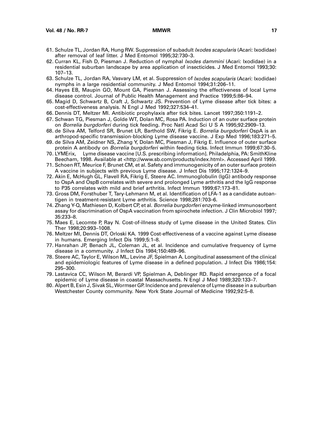- 61. Schulze TL, Jordan RA, Hung RW. Suppression of subadult Ixodes scapularis (Acari: Ixodidae) after removal of leaf litter. J Med Entomol 1995;32:730–3.
- 62. Curran KL, Fish D, Piesman J. Reduction of nymphal *Ixodes dammini* (Acari: Ixodidae) in a residential suburban landscape by area application of insecticides. J Med Entomol 1993;30: 107–13.
- 63. Schulze TL, Jordan RA, Vasvary LM, et al. Suppression of Ixodes scapularis (Acari: Ixodidae) nymphs in a large residential community. J Med Entomol 1994;31:206–11.
- 64. Hayes EB, Maupin GO, Mount GA, Piesman J. Assessing the effectiveness of local Lyme disease control. Journal of Public Health Management and Practice 1999;5:86–94.
- 65. Magid D, Schwartz B, Craft J, Schwartz JS. Prevention of Lyme disease after tick bites: a cost-effectiveness analysis. N Engl J Med 1992;327:534–41.
- 66. Dennis DT, Meltzer MI. Antibiotic prophylaxis after tick bites. Lancet 1997;350:1191–2.
- 67. Schwan TG, Piesman J, Golde WT, Dolan MC, Rosa PA. Induction of an outer surface protein on Borrelia burgdorferi during tick feeding. Proc Natl Acad Sci U S A 1995;92:2909–13.
- 68. de Silva AM, Telford SR, Brunet LR, Barthold SW, Fikrig E. Borrelia burgdorferi OspA is an arthropod-specific transmission-blocking Lyme disease vaccine. J Exp Med 1996;183:271–5.
- 69. de Silva AM, Zeidner NS, Zhang Y, Dolan MC, Piesman J, Fikrig E. Influence of outer surface protein A antibody on *Borrelia burgdorferi* within feeding ticks. Infect Immun 1999:67:30-5.
- 70. LYMErix,<sup>™</sup> Lyme disease vaccine [U.S. prescribing information]. Philadelphia, PA: SmithKline Beecham, 1998. Available at <http://www.sb.com/products/index.html>. Accessed April 1999.
- 71. Schoen RT, Meurice F, Brunet CM, et al. Safety and immunogenicity of an outer surface protein A vaccine in subjects with previous Lyme disease. J Infect Dis 1995;172:1324–9.
- 72. Akin E, McHugh GL, Flavell RA, Fikrig E, Steere AC. Immunoglobulin (IgG) antibody response to OspA and OspB correlates with severe and prolonged Lyme arthritis and the IgG response to P35 correlates with mild and brief arthritis. Infect Immun 1999;67:173–81.
- 73. Gross DM, Forsthuber T, Tary-Lehmann M, et al. Identification of LFA-1 as a candidate autoantigen in treatment-resistant Lyme arthritis. Science 1998;281:703–6.
- 74. Zhang Y-Q, Mathiesen D, Kolbert CP, et al. Borrelia burgdorferi enzyme-linked immunosorbent assay for discrimination of OspA vaccination from spirochete infection. J Clin Microbiol 1997; 35:233–8.
- 75. Maes E, Lecomte P, Ray N. Cost-of-illness study of Lyme disease in the United States. Clin Ther 1998;20:993–1008.
- 76. Meltzer MI, Dennis DT, Orloski KA. 1999 Cost-effectiveness of a vaccine against Lyme disease in humans. Emerging Infect Dis 1999;5:1–8.
- 77. Hanrahan JP, Benach JL, Coleman JL, et al. Incidence and cumulative frequency of Lyme disease in a community. J Infect Dis 1984;150:489–96.
- 78. Steere AC, Taylor E, Wilson ML, Levine JF, Spielman A. Longitudinal assessment of the clinical and epidemiologic features of Lyme disease in a defined population. J Infect Dis 1986;154: 295–300.
- 79. Lastavica CC, Wilson M, Berardi VP, Spielman A, Deblinger RD. Rapid emergence of a focal epidemic of Lyme disease in coastal Massachusetts. N Engl J Med 1989;320:133–7.
- 80. Alpert B, Esin J, Sivak SL, Wormser GP. Incidence and prevalence of Lyme disease in a suburban Westchester County community. New York State Journal of Medicine 1992;92:5–8.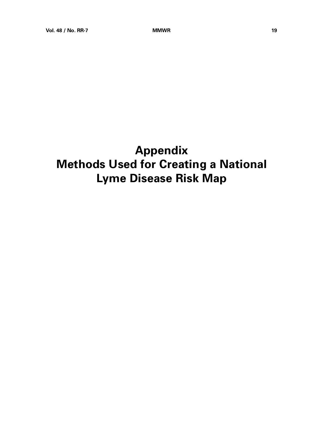# **Appendix Methods Used for Creating a National Lyme Disease Risk Map**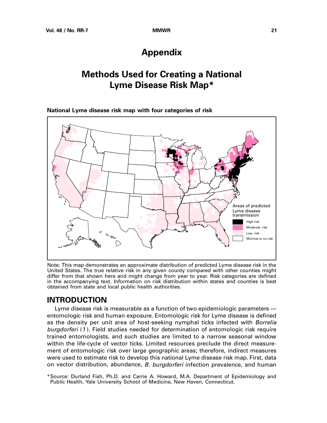## **Appendix**

## **Methods Used for Creating a National Lyme Disease Risk Map\***

<span id="page-33-0"></span>**National Lyme disease risk map with four categories of risk**



Note: This map demonstrates an approximate distribution of predicted Lyme disease risk in the United States. The true relative risk in any given county compared with other counties might differ from that shown here and might change from year to year. Risk categories are defined in the accompanying text. Information on risk distribution within states and counties is best obtained from state and local public health authorities.

## **INTRODUCTION**

Lyme disease risk is measurable as a function of two epidemiologic parameters entomologic risk and human exposure. Entomologic risk for Lyme disease is defined as the density per unit area of host-seeking nymphal ticks infected with Borrelia burgdorferi (1 ). Field studies needed for determination of entomologic risk require trained entomologists, and such studies are limited to a narrow seasonal window within the life-cycle of vector ticks. Limited resources preclude the direct measurement of entomologic risk over large geographic areas; therefore, indirect measures were used to estimate risk to develop this national Lyme disease risk map. First, data on vector distribution, abundance, B. burgdorferi infection prevalence, and human

<sup>\*</sup>Source: Durland Fish, Ph.D. and Carrie A. Howard, M.A. Department of Epidemiology and Public Health, Yale University School of Medicine, New Haven, Connecticut.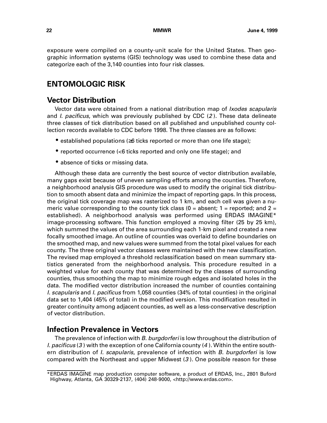exposure were compiled on a county-unit scale for the United States. Then geographic information systems (GIS) technology was used to combine these data and categorize each of the 3,140 counties into four risk classes.

## **ENTOMOLOGIC RISK**

## **Vector Distribution**

Vector data were obtained from a national distribution map of *Ixodes scapularis* and *I. pacificus*, which was previously published by CDC  $(2)$ . These data delineate three classes of tick distribution based on all published and unpublished county collection records available to CDC before 1998. The three classes are as follows:

- established populations (≥6 ticks reported or more than one life stage);
- reported occurrence (<6 ticks reported and only one life stage); and
- absence of ticks or missing data.

Although these data are currently the best source of vector distribution available, many gaps exist because of uneven sampling efforts among the counties. Therefore, a neighborhood analysis GIS procedure was used to modify the original tick distribution to smooth absent data and minimize the impact of reporting gaps. In this process, the original tick coverage map was rasterized to 1 km, and each cell was given a numeric value corresponding to the county tick class  $(0 =$  absent; 1 = reported; and 2 = established). A neighborhood analysis was performed using ERDAS IMAGINE\* image-processing software. This function employed a moving filter (25 by 25 km), which summed the values of the area surrounding each 1-km pixel and created a new focally smoothed image. An outline of counties was overlaid to define boundaries on the smoothed map, and new values were summed from the total pixel values for each county. The three original vector classes were maintained with the new classification. The revised map employed a threshold reclassification based on mean summary statistics generated from the neighborhood analysis. This procedure resulted in a weighted value for each county that was determined by the classes of surrounding counties, thus smoothing the map to minimize rough edges and isolated holes in the data. The modified vector distribution increased the number of counties containing I. scapularis and I. pacificus from 1,058 counties (34% of total counties) in the original data set to 1,404 (45% of total) in the modified version. This modification resulted in greater continuity among adjacent counties, as well as a less-conservative description of vector distribution.

## **Infection Prevalence in Vectors**

The prevalence of infection with B. burgdorferi is low throughout the distribution of *I. pacificus* (3) with the exception of one California county (4). Within the entire southern distribution of *I. scapularis*, prevalence of infection with *B. burgdorferi* is low compared with the Northeast and upper Midwest (3 ). One possible reason for these

<sup>\*</sup>ERDAS IMAGINE map production computer software, a product of ERDAS, Inc., 2801 Buford Highway, Atlanta, GA 30329-2137, (404) 248-9000, <http://www.erdas.com>.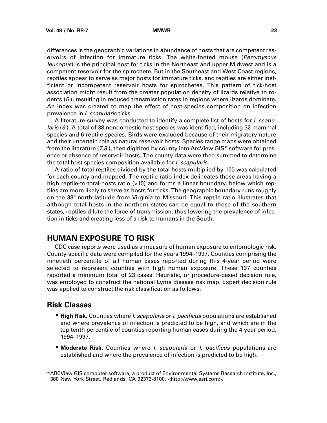differences is the geographic variations in abundance of hosts that are competent reservoirs of infection for immature ticks. The white-footed mouse (Peromyscus leucopus) is the principal host for ticks in the Northeast and upper Midwest and is a competent reservoir for the spirochete. But in the Southeast and West Coast regions, reptiles appear to serve as major hosts for immature ticks, and reptiles are either inefficient or incompetent reservoir hosts for spirochetes. This pattern of tick-host association might result from the greater population density of lizards relative to rodents (5 ), resulting in reduced transmission rates in regions where lizards dominate. An index was created to map the effect of host-species composition on infection prevalence in *l. scapularis* ticks.

A literature survey was conducted to identify a complete list of hosts for *l. scapularis*  $(6)$ . A total of 38 nondomestic host species was identified, including 32 mammal species and 6 reptile species. Birds were excluded because of their migratory nature and their uncertain role as natural reservoir hosts. Species range maps were obtained from the literature ( $7,8$ ), then digitized by county into ArcView GIS\* software for presence or absence of reservoir hosts. The county data were then summed to determine the total host species composition available for *l. scapularis*.

A ratio of total reptiles divided by the total hosts multiplied by 100 was calculated for each county and mapped. The reptile ratio index delineates those areas having a high reptile-to-total-hosts ratio (>10) and forms a linear boundary, below which reptiles are more likely to serve as hosts for ticks. The geographic boundary runs roughly on the 38º north latitude from Virginia to Missouri. This reptile ratio illustrates that although total hosts in the northern states can be equal to those of the southern states, reptiles dilute the force of transmission, thus lowering the prevalence of infection in ticks and creating less of a risk to humans in the South.

## **HUMAN EXPOSURE TO RISK**

CDC case reports were used as a measure of human exposure to entomologic risk. County-specific data were compiled for the years 1994–1997. Counties comprising the ninetieth percentile of all human cases reported during this 4-year period were selected to represent counties with high human exposure. These 137 counties reported a minimum total of 23 cases. Heuristic, or procedure-based decision rule, was employed to construct the national Lyme disease risk map. Expert decision rule was applied to construct the risk classification as follows:

#### **Risk Classes**

- **High Risk.** Counties where I. scapularis or I. pacificus populations are established and where prevalence of infection is predicted to be high, and which are in the top tenth percentile of counties reporting human cases during the 4-year period, 1994–1997.
- **Moderate Risk.** Counties where I. scapularis or I. pacificus populations are established and where the prevalence of infection is predicted to be high.

<sup>\*</sup>ARCView GIS computer software, a product of Environmental Systems Research Institute, Inc., 380 New York Street, Redlands, CA 92373-8100, <http://www.esri.com>.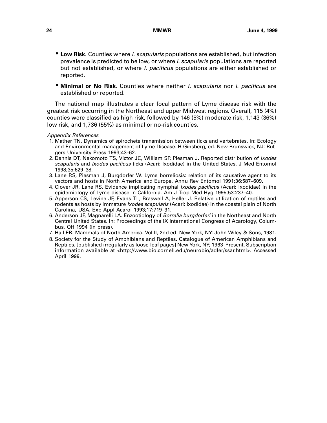- **Low Risk.** Counties where I. scapularis populations are established, but infection prevalence is predicted to be low, or where I. scapularis populations are reported but not established, or where *I. pacificus* populations are either established or reported.
- **Minimal or No Risk.** Counties where neither I. scapularis nor I. pacificus are established or reported.

The national map illustrates a clear focal pattern of Lyme disease risk with the greatest risk occurring in the Northeast and upper Midwest regions. Overall, 115 (4%) counties were classified as high risk, followed by 146 (5%) moderate risk, 1,143 (36%) low risk, and 1,736 (55%) as minimal or no-risk counties.

Appendix References

- 1. Mather TN. Dynamics of spirochete transmission between ticks and vertebrates. In: Ecology and Environmental management of Lyme Disease. H Ginsberg, ed. New Brunswick, NJ: Rutgers University Press 1993;43–62.
- 2. Dennis DT, Nekomoto TS, Victor JC, William SP, Piesman J. Reported distribution of Ixodes scapularis and *Ixodes pacificus* ticks (Acari: Ixodidae) in the United States. J Med Entomol 1998;35:629–38.
- 3. Lane RS, Piesman J, Burgdorfer W. Lyme borreliosis: relation of its causative agent to its vectors and hosts in North America and Europe. Annu Rev Entomol 1991;36:587–609.
- 4. Clover JR, Lane RS. Evidence implicating nymphal *Ixodes pacificus* (Acari: Ixodidae) in the epidemiology of Lyme disease in California. Am J Trop Med Hyg 1995;53:237–40.
- 5. Apperson CS, Levine JF, Evans TL, Braswell A, Heller J. Relative utilization of reptiles and rodents as hosts by immature *Ixodes scapularis* (Acari: Ixodidae) in the coastal plain of North Carolina, USA. Exp Appl Acarol 1993;17:719–31.
- 6. Anderson JF, Magnarelli LA. Enzootiology of Borrelia burgdorferi in the Northeast and North Central United States. In: Proceedings of the IX International Congress of Acarology, Columbus, OH 1994 (in press).
- 7. Hall ER. Mammals of North America. Vol II, 2nd ed. New York, NY: John Wiley & Sons, 1981.
- 8. Society for the Study of Amphibians and Reptiles. Catalogue of American Amphibians and Reptiles. [published irregularly as loose-leaf pages] New York, NY; 1963–Present. Subscription information available at <http://www.bio.cornell.edu/neurobio/adler/ssar.html>. Accessed April 1999.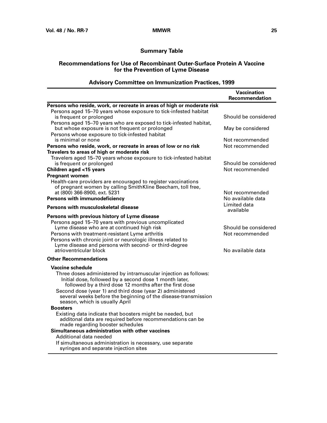#### **Summary Table**

#### **Recommendations for Use of Recombinant Outer-Surface Protein A Vaccine for the Prevention of Lyme Disease**

#### **Vaccination Recommendation Persons who reside, work, or recreate in areas of high or moderate risk** Persons aged 15–70 years whose exposure to tick-infested habitat is frequent or prolonged Should be considered Persons aged 15–70 years who are exposed to tick-infested habitat, but whose exposure is not frequent or prolonged May be considered Persons whose exposure to tick-infested habitat is minimal or none  $\blacksquare$  Not recommended **Persons who reside, work, or recreate in areas of low or no risk** Not recommended **Travelers to areas of high or moderate risk** Travelers aged 15–70 years whose exposure to tick-infested habitat is frequent or prolonged Should be considered **Children aged <15 years** Not recommended **Pregnant women** Health-care providers are encouraged to register vaccinations of pregnant women by calling SmithKline Beecham, toll free, at (800) 366-8900, ext. 5231 at (800) 366-8900, ext. 5231 **Persons with immunodeficiency** No available data **No available data Persons with musculoskeletal disease** Limited data Limited data available **Persons with previous history of Lyme disease** Persons aged 15–70 years with previous uncomplicated Lyme disease who are at continued high risk Should be considered Persons with treatment-resistant Lyme arthritis Not recommended Persons with chronic joint or neurologic illness related to Lyme disease and persons with second- or third-degree atrioventricular block and the set of the set of the set of the set of the set of the set of the set of the set o **Other Recommendations Vaccine schedule** Three doses administered by intramuscular injection as follows: Initial dose, followed by a second dose 1 month later, followed by a third dose 12 months after the first dose Second dose (year 1) and third dose (year 2) administered several weeks before the beginning of the disease-transmission season, which is usually April **Boosters** Existing data indicate that boosters might be needed, but additonal data are required before recommendations can be made regarding booster schedules **Simultaneous administration with other vaccines** Additional data needed If simultaneous administration is necessary, use separate syringes and separate injection sites

#### **Advisory Committee on Immunization Practices, 1999**